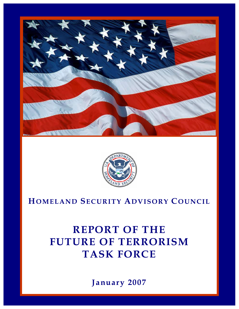



## **HOMELAND SECURITY ADVISORY COUNCIL**

# **REPORT OF THE FUTURE OF TERRORISM TASK FORCE**

**January 2007** 

1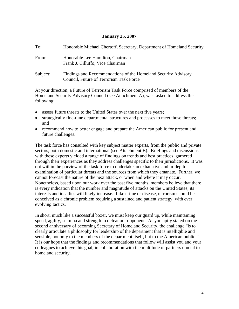#### **January 25, 2007**

| To:      | Honorable Michael Chertoff, Secretary, Department of Homeland Security                                    |
|----------|-----------------------------------------------------------------------------------------------------------|
| From:    | Honorable Lee Hamilton, Chairman<br>Frank J. Cilluffo, Vice Chairman                                      |
| Subject: | Findings and Recommendations of the Homeland Security Advisory<br>Council, Future of Terrorism Task Force |

At your direction, a Future of Terrorism Task Force comprised of members of the Homeland Security Advisory Council (see Attachment A), was tasked to address the following:

- assess future threats to the United States over the next five years;
- strategically fine-tune departmental structures and processes to meet those threats; and
- recommend how to better engage and prepare the American public for present and future challenges.

The task force has consulted with key subject matter experts, from the public and private sectors, both domestic and international (see Attachment B). Briefings and discussions with these experts yielded a range of findings on trends and best practices, garnered through their experiences as they address challenges specific to their jurisdictions. It was not within the purview of the task force to undertake an exhaustive and in-depth examination of particular threats and the sources from which they emanate. Further, we cannot forecast the nature of the next attack, or when and where it may occur. Nonetheless, based upon our work over the past five months, members believe that there is every indication that the number and magnitude of attacks on the United States, its interests and its allies will likely increase. Like crime or disease, terrorism should be conceived as a chronic problem requiring a sustained and patient strategy, with ever evolving tactics.

In short, much like a successful boxer, we must keep our guard up, while maintaining speed, agility, stamina and strength to defeat our opponent. As you aptly stated on the second anniversary of becoming Secretary of Homeland Security, the challenge "is to clearly articulate a philosophy for leadership of the department that is intelligible and sensible, not only to the members of the department itself, but to the American public." It is our hope that the findings and recommendations that follow will assist you and your colleagues to achieve this goal, in collaboration with the multitude of partners crucial to homeland security.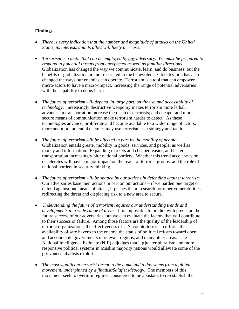#### **Findings**

- *There is every indication that the number and magnitude of attacks on the United States, its interests and its allies will likely increase.*
- *Terrorism is a tactic that can be employed by any adversary. We must be prepared to respond to potential threats from unexpected as well as familiar directions*. Globalization has changed the way we communicate, learn, and do business, but the benefits of globalization are not restricted to the benevolent. Globalization has also changed the ways our enemies can operate. Terrorism is a tool that can empower micro-actors to have a macro-impact, increasing the range of potential adversaries with the capability to do us harm.
- *The future of terrorism will depend, in large part, on the use and accessibility of technology*. Increasingly destructive weaponry makes terrorism more lethal; advances in transportation increase the reach of terrorists; and cheaper and more secure means of communication make terrorism harder to detect. As these technologies advance, proliferate and become available to a wider range of actors, more and more potential enemies may use terrorism as a strategy and tactic.
- *The future of terrorism will be affected in part by the mobility of people*. Globalization entails greater mobility in goods, services, and people, as well as money and information. Expanding markets and cheaper, easier, and faster transportation increasingly blur national borders. Whether this trend accelerates or decelerates will have a major impact on the reach of terrorist groups, and the role of national borders in security thinking.
- *The future of terrorism will be shaped by our actions in defending against terrorism*. Our adversaries base their actions in part on our actions – if we harden one target or defend against one means of attack, it pushes them to search for other vulnerabilities, redirecting the threat and displacing risk to a new area to secure.
- *Understanding the future of terrorism requires our understanding trends and developments in a wide range of areas.* It is impossible to predict with precision the future success of our adversaries, but we can evaluate the factors that will contribute to their success or failure. Among those factors are the quality of the leadership of terrorist organizations, the effectiveness of U.S. counterterrorism efforts, the availability of safe havens to the enemy, the status of political reform toward open and accountable governments in relevant regions, and many other areas. The National Intelligence Estimate (NIE) adjudges that "[g]reater pluralism and more responsive political systems in Muslim majority nations would alleviate some of the grievances jihadists exploit."
- *The most significant terrorist threat to the homeland today stems from a global movement, underpinned by a jihadist/Salafist ideology*. The members of this movement seek to overturn regimes considered to be apostate; to re-establish the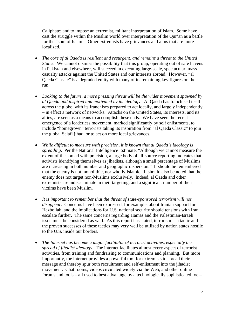Caliphate; and to impose an extremist, militant interpretation of Islam. Some have cast the struggle within the Muslim world over interpretation of the Qur'an as a battle for the "soul of Islam." Other extremists have grievances and aims that are more localized.

- *The core of al Qaeda is resilient and resurgent, and remains a threat to the United States*. We cannot dismiss the possibility that this group, operating out of safe havens in Pakistan and elsewhere, will succeed in executing large-scale, spectacular, mass casualty attacks against the United States and our interests abroad. However, "al Qaeda Classic" is a degraded entity with many of its remaining key figures on the run.
- *Looking to the future, a more pressing threat will be the wider movement spawned by al Qaeda and inspired and motivated by its ideology.* Al Qaeda has franchised itself across the globe, with its franchises prepared to act locally, and largely independently – in effect a network of networks. Attacks on the United States, its interests, and its allies, are seen as a means to accomplish these ends. We have seen the recent emergence of a leaderless movement, marked significantly by self enlistments, to include "homegrown" terrorists taking its inspiration from "al Qaeda Classic" to join the global Salafi jihad, or to act on more local grievances.
- *While difficult to measure with precision, it is known that al Qaeda's ideology is spreading*. Per the National Intelligence Estimate, "Although we cannot measure the extent of the spread with precision, a large body of all-source reporting indicates that activists identifying themselves as jihadists, although a small percentage of Muslims, are increasing in both number and geographic dispersion." It should be remembered that the enemy is not monolithic, nor wholly Islamic. It should also be noted that the enemy does not target non-Muslims exclusively. Indeed, al Qaeda and other extremists are indiscriminate in their targeting, and a significant number of their victims have been Muslim.
- *It is important to remember that the threat of state-sponsored terrorism will not disappear*. Concerns have been expressed, for example, about Iranian support for Hezbollah, and the implications for U.S. national security should tensions with Iran escalate further. The same concerns regarding Hamas and the Palestinian-Israeli issue must be considered as well. As this report has stated, terrorism is a tactic and the proven successes of these tactics may very well be utilized by nation states hostile to the U.S. inside our borders.
- *The Internet has become a major facilitator of terrorist activities, especially the spread of jihadist ideology*. The internet facilitates almost every aspect of terrorist activities, from training and fundraising to communications and planning. But more importantly, the internet provides a powerful tool for extremists to spread their message and thereby spur both recruitment and self-enlistment into the jihadist movement. Chat rooms, videos circulated widely via the Web, and other online forums and tools – all used to best advantage by a technologically sophisticated foe –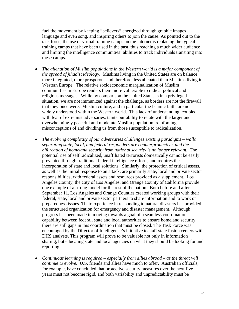fuel the movement by keeping "believers" energized through graphic images, language and even song, and inspiring others to join the cause. As pointed out to the task force, the use of virtual training camps on the internet is replacing the typical training camps that have been used in the past, thus reaching a much wider audience and limiting the intelligence communities' abilities to track individuals transiting into these camps.

- *The alienation of Muslim populations in the Western world is a major component of the spread of jihadist ideology*. Muslims living in the United States are on balance more integrated, more prosperous and therefore, less alienated than Muslims living in Western Europe. The relative socioeconomic marginalization of Muslim communities in Europe renders them more vulnerable to radical political and religious messages. While by comparison the United States is in a privileged situation, we are not immunized against the challenge, as borders are not the firewall that they once were. Muslim culture, and in particular the Islamic faith, are not widely understood within the Western world. This lack of understanding, coupled with fear of extremist adversaries, taints our ability to relate with the larger and overwhelmingly peaceful and moderate Muslim population, reinforcing misconceptions of and dividing us from those susceptible to radicalization.
- *The evolving complexity of our adversaries challenges existing paradigms walls separating state, local, and federal responders are counterproductive, and the bifurcation of homeland security from national security is no longer relevant.* The potential rise of self radicalized, unaffiliated terrorists domestically cannot be easily prevented through traditional federal intelligence efforts, and requires the incorporation of state and local solutions. Similarly, the protection of critical assets, as well as the initial response to an attack, are primarily state, local and private sector responsibilities, with federal assets and resources provided as a supplement. Los Angeles County, the City of Los Angeles, and Orange County of California provide one example of a strong model for the rest of the nation. Both before and after September 11, Los Angeles and Orange Counties created working groups with their federal, state, local and private sector partners to share information and to work on preparedness issues. Their experience in responding to natural disasters has provided the structured organization for emergency and disaster management. Although progress has been made in moving towards a goal of a seamless coordination capability between federal, state and local authorities to ensure homeland security, there are still gaps in this coordination that must be closed. The Task Force was encouraged by the Director of Intelligence's initiative to staff state fusion centers with DHS analysts. This program will prove to be valuable not only in information sharing, but educating state and local agencies on what they should be looking for and reporting.
- *Continuous learning is required especially from allies abroad as the threat will continue to evolve.* U.S. friends and allies have much to offer. Australian officials, for example, have concluded that protective security measures over the next five years must not become rigid, and both variability and unpredictability must be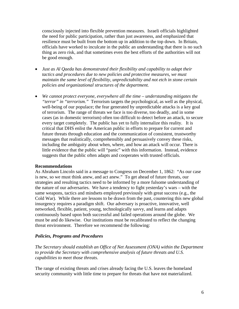consciously injected into flexible prevention measures. Israeli officials highlighted the need for public participation, rather than just awareness, and emphasized that resilience must be built from the bottom up in addition to the top down. In Britain, officials have worked to inculcate in the public an understanding that there is no such thing as zero risk, and that sometimes even the best efforts of the authorities will not be good enough.

- *Just as Al Qaeda has demonstrated their flexibility and capability to adapt their tactics and procedures due to new policies and protective measures, we must maintain the same level of flexibility, unpredictability and not etch in stone certain policies and organizational structures of the department.*
- *We cannot protect everyone, everywhere all the time understanding mitigates the "terror" in "terrorism."* Terrorism targets the psychological, as well as the physical, well-being of our populace; the fear generated by unpredictable attacks is a key goal of terrorism. The range of threats we face is too diverse, too deadly, and in some cases (as in domestic terrorism) often too difficult to detect before an attack, to secure every target completely. The public has yet to fully internalize this reality. It is critical that DHS enlist the American public in efforts to prepare for current and future threats through education and the communication of consistent, trustworthy messages that realistically, comprehensibly and persuasively convey these risks, including the ambiguity about when, where, and how an attack will occur. There is little evidence that the public will "panic" with this information. Instead, evidence suggests that the public often adapts and cooperates with trusted officials.

#### **Recommendations**

As Abraham Lincoln said in a message to Congress on December 1, 1862: "As our case is new, so we must think anew, and act anew." To get ahead of future threats, our strategies and resulting tactics need to be informed by a more fulsome understanding of the nature of our adversaries. We have a tendency to fight yesterday's wars – with the same weapons, tactics and mindsets employed previously with great success (e.g., the Cold War). While there are lessons to be drawn from the past, countering this new global insurgency requires a paradigm shift. Our adversary is proactive, innovative, well networked, flexible, patient, young, technologically savvy, and learns and adapts continuously based upon both successful and failed operations around the globe. We must be and do likewise. Our institutions must be recalibrated to reflect the changing threat environment. Therefore we recommend the following:

#### *Policies, Programs and Procedures*

*The Secretary should establish an Office of Net Assessment (ONA) within the Department to provide the Secretary with comprehensive analysis of future threats and U.S. capabilities to meet those threats*.

The range of existing threats and crises already facing the U.S. leaves the homeland security community with little time to prepare for threats that have not materialized.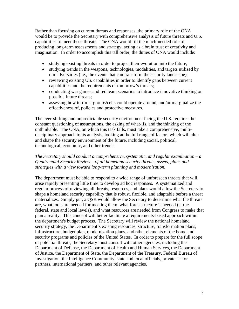Rather than focusing on current threats and responses, the primary role of the ONA would be to provide the Secretary with comprehensive analysis of future threats and U.S. capabilities to meet those threats. The ONA would fill the much-needed role of producing long-term assessments and strategy, acting as a brain trust of creativity and imagination. In order to accomplish this tall order, the duties of ONA would include:

- studying existing threats in order to project their evolution into the future;
- studying trends in the weapons, technologies, modalities, and targets utilized by our adversaries (i.e., the events that can transform the security landscape);
- reviewing existing US. capabilities in order to identify gaps between current capabilities and the requirements of tomorrow's threats;
- conducting war games and red team scenarios to introduce innovative thinking on possible future threats;
- assessing how terrorist groups/cells could operate around, and/or marginalize the effectiveness of, policies and protective measures.

The ever-shifting and unpredictable security environment facing the U.S. requires the constant questioning of assumptions, the asking of what-ifs, and the thinking of the unthinkable. The ONA, on which this task falls, must take a comprehensive, multidisciplinary approach to its analysis, looking at the full range of factors which will alter and shape the security environment of the future, including social, political, technological, economic, and other trends.

#### *The Secretary should conduct a comprehensive, systematic, and regular examination – a Quadrennial Security Review – of all homeland security threats, assets, plans and strategies with a view toward long-term planning and modernization.*

The department must be able to respond to a wide range of unforeseen threats that will arise rapidly presenting little time to develop ad hoc responses. A systematized and regular process of reviewing all threats, resources, and plans would allow the Secretary to shape a homeland security capability that is robust, flexible, and adaptable before a threat materializes. Simply put, a QSR would allow the Secretary to determine what the threats are, what tools are needed for meeting them, what force structure is needed (at the federal, state and local levels), and what resources are needed from Congress to make that plan a reality. This concept will better facilitate a requirements-based approach within the department's budget process. The Secretary will review the national homeland security strategy, the Department's existing resources, structure, transformation plans, infrastructure, budget plan, modernization plans, and other elements of the homeland security programs and policies of the United States. In order to prepare for the full scope of potential threats, the Secretary must consult with other agencies, including the Department of Defense, the Department of Health and Human Services, the Department of Justice, the Department of State, the Department of the Treasury, Federal Bureau of Investigation, the Intelligence Community, state and local officials, private sector partners, international partners, and other relevant agencies.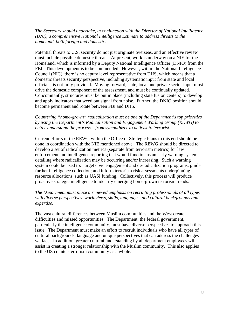*The Secretary should undertake, in conjunction with the Director of National Intelligence (DNI), a comprehensive National Intelligence Estimate to address threats to the homeland, both foreign and domestic.*

Potential threats to U.S. security do not just originate overseas, and an effective review must include possible domestic threats. At present, work is underway on a NIE for the Homeland, which is informed by a Deputy National Intelligence Officer (DNIO) from the FBI. This development is to be commended. However, within the National Intelligence Council (NIC), there is no deputy level representative from DHS, which means that a domestic threats security perspective, including systematic input from state and local officials, is not fully provided. Moving forward, state, local and private sector input must drive the domestic component of the assessment, and must be continually updated. Concomitantly, structures must be put in place (including state fusion centers) to develop and apply indicators that weed out signal from noise. Further, the DNIO position should become permanent and rotate between FBI and DHS.

*Countering "home-grown" radicalization must be one of the Department's top priorities by using the Department's Radicalization and Engagement Working Group (REWG) to better understand the process – from sympathizer to activist to terrorist.* 

Current efforts of the REWG within the Office of Strategic Plans to this end should be done in coordination with the NIE mentioned above. The REWG should be directed to develop a set of radicalization metrics (separate from terrorism metrics) for law enforcement and intelligence reporting that would function as an early warning system, detailing where radicalization may be occurring and/or increasing. Such a warning system could be used to: target civic engagement and de-radicalization programs; guide further intelligence collection; and inform terrorism risk assessments underpinning resource allocations, such as UASI funding. Collectively, this process will produce proactive strategic intelligence to identify emerging home-grown terrorism trends.

#### *The Department must place a renewed emphasis on recruiting professionals of all types with diverse perspectives, worldviews, skills, languages, and cultural backgrounds and expertise*.

The vast cultural differences between Muslim communities and the West create difficulties and missed opportunities. The Department, the federal government, particularly the intelligence community, must have diverse perspectives to approach this issue. The Department must make an effort to recruit individuals who have all types of cultural backgrounds, language and unique perspectives that can address the challenges we face. In addition, greater cultural understanding by all department employees will assist in creating a stronger relationship with the Muslim community. This also applies to the US counter-terrorism community as a whole.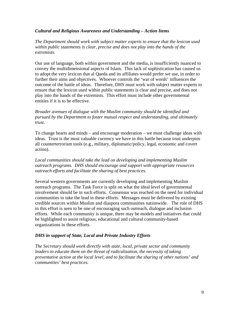#### *Cultural and Religious Awareness and Understanding – Action Items*

*The Department should work with subject matter experts to ensure that the lexicon used within public statements is clear, precise and does not play into the hands of the extremists.*

Our use of language, both within government and the media, is insufficiently nuanced to convey the multidimensional aspects of Islam. This lack of sophistication has caused us to adopt the very lexicon that al Qaeda and its affiliates would prefer we use, in order to further their aims and objectives. Whoever controls the 'war of words' influences the outcome of the battle of ideas. Therefore, DHS must work with subject matter experts to ensure that the lexicon used within public statements is clear and precise, and does not play into the hands of the extremists. This effort must include other governmental entities if it is to be effective.

*Broader avenues of dialogue with the Muslim community should be identified and pursued by the Department to foster mutual respect and understanding, and ultimately trust*.

To change hearts and minds – and encourage moderation – we must challenge ideas with ideas. Trust is the most valuable currency we have in this battle because trust underpins all counterterrorism tools (e.g., military, diplomatic/policy, legal, economic and covert action).

*Local communities should take the lead on developing and implementing Muslim outreach programs. DHS should encourage and support with appropriate resources outreach efforts and facilitate the sharing of best practices.* 

Several western governments are currently developing and implementing Muslim outreach programs. The Task Force is split on what the ideal level of governmental involvement should be in such efforts. Consensus was reached on the need for individual communities to take the lead in these efforts. Messages must be delivered by existing credible sources within Muslim and diaspora communities nationwide. The role of DHS in this effort is seen to be one of encouraging such outreach, dialogue and inclusion efforts. While each community is unique, there may be models and initiatives that could be highlighted to assist religious, educational and cultural community-based organizations in these efforts.

#### *DHS in support of State, Local and Private Industry Efforts*

*The Secretary should work directly with state, local, private sector and community leaders to educate them on the threat of radicalization, the necessity of taking preventative action at the local level, and to facilitate the sharing of other nations' and communities' best practices.*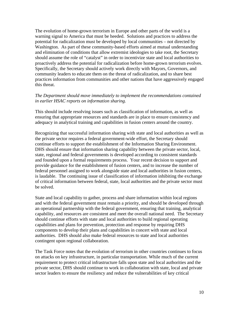The evolution of home-grown terrorism in Europe and other parts of the world is a warning signal to America that must be heeded. Solutions and practices to address the potential for radicalization must be developed by local communities – not directed by Washington. As part of these community-based efforts aimed at mutual understanding and elimination of conditions that allow extremist ideologies to take root, the Secretary should assume the role of "catalyst" in order to incentivize state and local authorities to proactively address the potential for radicalization before home-grown terrorism evolves. Specifically, the Secretary should actively work directly with Mayors, Governors, and community leaders to educate them on the threat of radicalization, and to share best practices information from communities and other nations that have aggressively engaged this threat.

#### *The Department should move immediately to implement the recommendations contained in earlier HSAC reports on information sharing.*

This should include resolving issues such as classification of information, as well as ensuring that appropriate resources and standards are in place to ensure consistency and adequacy in analytical training and capabilities in fusion centers around the country.

Recognizing that successful information sharing with state and local authorities as well as the private sector requires a federal government-wide effort, the Secretary should continue efforts to support the establishment of the Information Sharing Environment. DHS should ensure that information sharing capability between the private sector, local, state, regional and federal governments is developed according to consistent standards and founded upon a formal requirements process. Your recent decision to support and provide guidance for the establishment of fusion centers, and to increase the number of federal personnel assigned to work alongside state and local authorities in fusion centers, is laudable. The continuing issue of classification of information inhibiting the exchange of critical information between federal, state, local authorities and the private sector must be solved.

State and local capability to gather, process and share information within local regions and with the federal government must remain a priority, and should be developed through an operational partnership with the federal government, ensuring that training, analytical capability, and resources are consistent and meet the overall national need. The Secretary should continue efforts with state and local authorities to build regional operating capabilities and plans for prevention, protection and response by requiring DHS components to develop their plans and capabilities in concert with state and local authorities. DHS should also make federal resources to state and local authorities contingent upon regional collaboration.

The Task Force notes that the evolution of terrorism in other countries continues to focus on attacks on key infrastructure, in particular transportation. While much of the current requirement to protect critical infrastructure falls upon state and local authorities and the private sector, DHS should continue to work in collaboration with state, local and private sector leaders to ensure the resiliency and reduce the vulnerabilities of key critical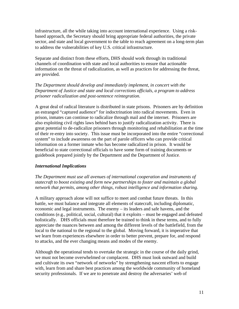infrastructure, all the while taking into account international experience. Using a riskbased approach, the Secretary should bring appropriate federal authorities, the private sector, and state and local government to the table to reach agreement on a long-term plan to address the vulnerabilities of key U.S. critical infrastructure.

Separate and distinct from these efforts, DHS should work through its traditional channels of coordination with state and local authorities to ensure that actionable information on the threat of radicalization, as well as practices for addressing the threat, are provided.

*The Department should develop and immediately implement, in concert with the Department of Justice and state and local corrections officials, a program to address prisoner radicalization and post-sentence reintegration.* 

A great deal of radical literature is distributed in state prisons. Prisoners are by definition an estranged "captured audience" for indoctrination into radical movements. Even in prison, inmates can continue to radicalize through mail and the internet. Prisoners are also exploiting civil rights laws behind bars to justify radicalization activity. There is great potential to de-radicalize prisoners through monitoring and rehabilitation at the time of their re-entry into society. This issue must be incorporated into the entire "correctional system" to include awareness on the part of parole officers who can provide critical information on a former inmate who has become radicalized in prison. It would be beneficial to state correctional officials to have some form of training documents or guidebook prepared jointly by the Department and the Department of Justice.

#### *International Implications*

*The Department must use all avenues of international cooperation and instruments of statecraft to boost existing and form new partnerships to foster and maintain a global network that permits, among other things, robust intelligence and information sharing.* 

A military approach alone will not suffice to meet and combat future threats. In this battle, we must balance and integrate all elements of statecraft, including diplomatic, economic and legal instruments. The enemy – its leaders and safe havens, and the conditions (e.g., political, social, cultural) that it exploits – must be engaged and defeated holistically. DHS officials must therefore be trained to think in these terms, and to fully appreciate the nuances between and among the different levels of the battlefield, from the local to the national to the regional to the global. Moving forward, it is imperative that we learn from experiences elsewhere in order to better prevent, prepare for, and respond to attacks, and the ever changing means and modes of the enemy.

Although the operational tends to overtake the strategic in the course of the daily grind, we must not become overwhelmed or complacent. DHS must look outward and build and cultivate its own "network of networks" by strengthening nascent efforts to engage with, learn from and share best practices among the worldwide community of homeland security professionals. If we are to penetrate and destroy the adversaries' web of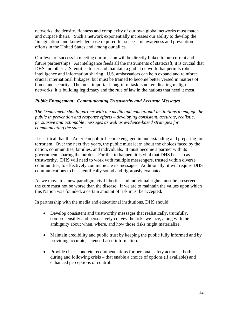networks, the density, richness and complexity of our own global networks must match and outpace theirs. Such a network exponentially increases our ability to develop the 'imagination' and knowledge base required for successful awareness and prevention efforts in the United States and among our allies.

Our level of success in meeting our mission will be directly linked to our current and future partnerships. As intelligence feeds all the instruments of statecraft, it is crucial that DHS and other U.S. entities foster and maintain a global network that permits robust intelligence and information sharing. U.S. ambassadors can help expand and reinforce crucial international linkages, but must be trained to become better versed in matters of homeland security. The most important long-term task is not eradicating malign networks; it is building legitimacy and the rule of law in the nations that need it most.

#### *Public Engagement: Communicating Trustworthy and Accurate Messages*

*The Department should partner with the media and educational institutions to engage the public in prevention and response efforts – developing consistent, accurate, realistic, persuasive and actionable messages as well as evidence-based strategies for communicating the same.* 

It is critical that the American public become engaged in understanding and preparing for terrorism. Over the next five years, the public must learn about the choices faced by the nation, communities, families, and individuals. It must become a partner with its government, sharing the burden. For that to happen, it is vital that DHS be seen as trustworthy. DHS will need to work with multiple messengers, trusted within diverse communities, to effectively communicate its messages. Additionally, it will require DHS communications to be scientifically sound and rigorously evaluated.

As we move to a new paradigm, civil liberties and individual rights must be preserved – the cure must not be worse than the disease. If we are to maintain the values upon which this Nation was founded, a certain amount of risk must be accepted.

In partnership with the media and educational institutions, DHS should:

- Develop consistent and trustworthy messages that realistically, truthfully, comprehensibly and persuasively convey the risks we face, along with the ambiguity about when, where, and how those risks might materialize.
- Maintain credibility and public trust by keeping the public fully informed and by providing accurate, science-based information.
- Provide clear, concrete recommendations for personal safety actions both during and following crisis – that enable a choice of options (if available) and enhanced perceptions of control.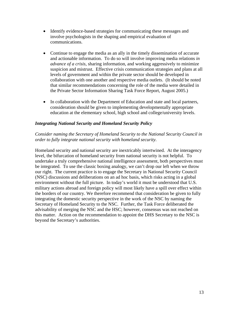- Identify evidence-based strategies for communicating these messages and involve psychologists in the shaping and empirical evaluation of communications.
- Continue to engage the media as an ally in the timely dissemination of accurate and actionable information. To do so will involve improving media relations *in advance of a crisis*, sharing information, and working aggressively to minimize suspicion and mistrust. Effective crisis communication strategies and plans at all levels of government and within the private sector should be developed in collaboration with one another and respective media outlets. (It should be noted that similar recommendations concerning the role of the media were detailed in the Private Sector Information Sharing Task Force Report, August 2005.)
- In collaboration with the Department of Education and state and local partners, consideration should be given to implementing developmentally appropriate education at the elementary school, high school and college/university levels.

#### *Integrating National Security and Homeland Security Policy*

#### *Consider naming the Secretary of Homeland Security to the National Security Council in order to fully integrate national security with homeland security.*

Homeland security and national security are inextricably intertwined. At the interagency level, the bifurcation of homeland security from national security is not helpful. To undertake a truly comprehensive national intelligence assessment, both perspectives must be integrated. To use the classic boxing analogy, we can't drop our left when we throw our right. The current practice is to engage the Secretary in National Security Council (NSC) discussions and deliberations on an ad hoc basis, which risks acting in a global environment without the full picture. In today's world it must be understood that U.S. military actions abroad and foreign policy will most likely have a spill over effect within the borders of our country. We therefore recommend that consideration be given to fully integrating the domestic security perspective in the work of the NSC by naming the Secretary of Homeland Security to the NSC. Further, the Task Force deliberated the advisability of merging the NSC and the HSC; however, consensus was not reached on this matter. Action on the recommendation to appoint the DHS Secretary to the NSC is beyond the Secretary's authorities.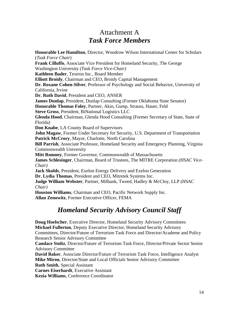### Attachment A *Task Force Members*

**Honorable Lee Hamilton**, Director, Woodrow Wilson International Center for Scholars (*Task Force Chair*) **Frank Cilluffo**, Associate Vice President for Homeland Security, The George Washington University *(Task Force Vice-Chair)* **Kathleen Bader**, Textron Inc., Board Member **Elliott Broidy**, Chairman and CEO, Broidy Capital Management **Dr. Roxane Cohen-Silver**, Professor of Psychology and Social Behavior, University of California, Irvine **Dr. Ruth David**, President and CEO, ANSER **James Dunlap**, President, Dunlap Consulting (Former Oklahoma State Senator) **Honorable Thomas Foley**, Partner, Akin, Gump, Strauss, Hauer, Feld **Steve Gross**, President, BiNational Logistics LLC **Glenda Hood**, Chairman, Glenda Hood Consulting (Former Secretary of State, State of Florida) **Don Knabe**, LA County Board of Supervisors **John Magaw**, Former Under Secretary for Security, U.S. Department of Transportation **Patrick McCrory**, Mayor, Charlotte, North Carolina **Bill Parrish**, Associate Professor, Homeland Security and Emergency Planning, Virginia Commonwealth University **Mitt Romney**, Former Governor, Commonwealth of Massachusetts **James Schlesinger**, Chairman, Board of Trustees, The MITRE Corporation *(HSAC Vice-Chair)* **Jack Skolds**, President, Exelon Energy Delivery and Exelon Generation **Dr. Lydia Thomas**, President and CEO, Mitretek Systems Inc. **Judge William Webster**, Partner, Milbank, Tweed, Hadley & McCloy, LLP *(HSAC Chair)*  **Houston Williams**, Chairman and CEO, Pacific Network Supply Inc. **Allan Zenowitz**, Former Executive Officer, FEMA

### *Homeland Security Advisory Council Staff*

**Doug Hoelscher**, Executive Director, Homeland Security Advisory Committees **Michael Fullerton**, Deputy Executive Director, Homeland Security Advisory Committees, Director/Future of Terrorism Task Force and Director/Academe and Policy Research Senior Advisory Committee **Candace Stoltz**, Director/Future of Terrorism Task Force, Director/Private Sector Senior Advisory Committee **David Baker**, Associate Director/Future of Terrorism Task Force, Intelligence Analyst **Mike Miron**, Director/State and Local Officials Senior Advisory Committee **Ruth Smith**, Special Assistant

**Carnes Eiserhardt**, Executive Assistant

**Kezia Williams**, Conference Coordinator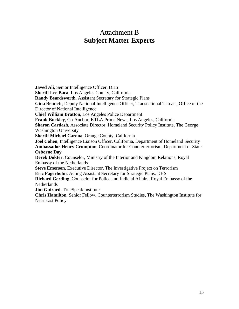### Attachment B **Subject Matter Experts**

**Javed Ali**, Senior Intelligence Officer, DHS **Sheriff Lee Baca**, Los Angeles County, California **Randy Beardsworth**, Assistant Secretary for Strategic Plans **Gina Bennett**, Deputy National Intelligence Officer, Transnational Threats, Office of the Director of National Intelligence **Chief William Bratton**, Los Angeles Police Department **Frank Buckley**, Co-Anchor, KTLA Prime News, Los Angeles, California **Sharon Cardash**, Associate Director, Homeland Security Policy Institute, The George Washington University **Sheriff Michael Carona**, Orange County, California **Joel Cohen**, Intelligence Liaison Officer, California, Department of Homeland Security **Ambassador Henry Crumpton**, Coordinator for Counterterrorism, Department of State **Osborne Day Derek Dokter**, Counselor, Ministry of the Interior and Kingdom Relations, Royal Embassy of the Netherlands **Steve Emerson**, Executive Director, The Investigative Project on Terrorism **Eric Fagerholm**, Acting Assistant Secretary for Strategic Plans, DHS **Richard Gerding**, Counselor for Police and Judicial Affairs, Royal Embassy of the Netherlands **Jim Guirard**, TrueSpeak Institute **Chris Hamilton**, Senior Fellow, Counterterrorism Studies, The Washington Institute for Near East Policy